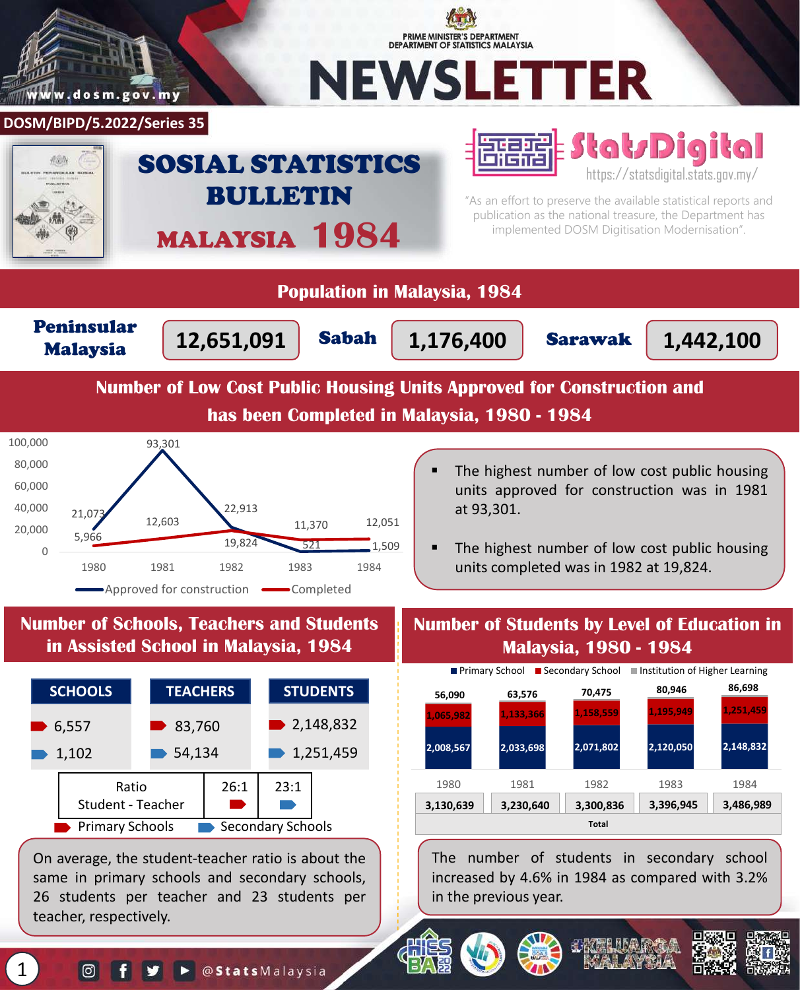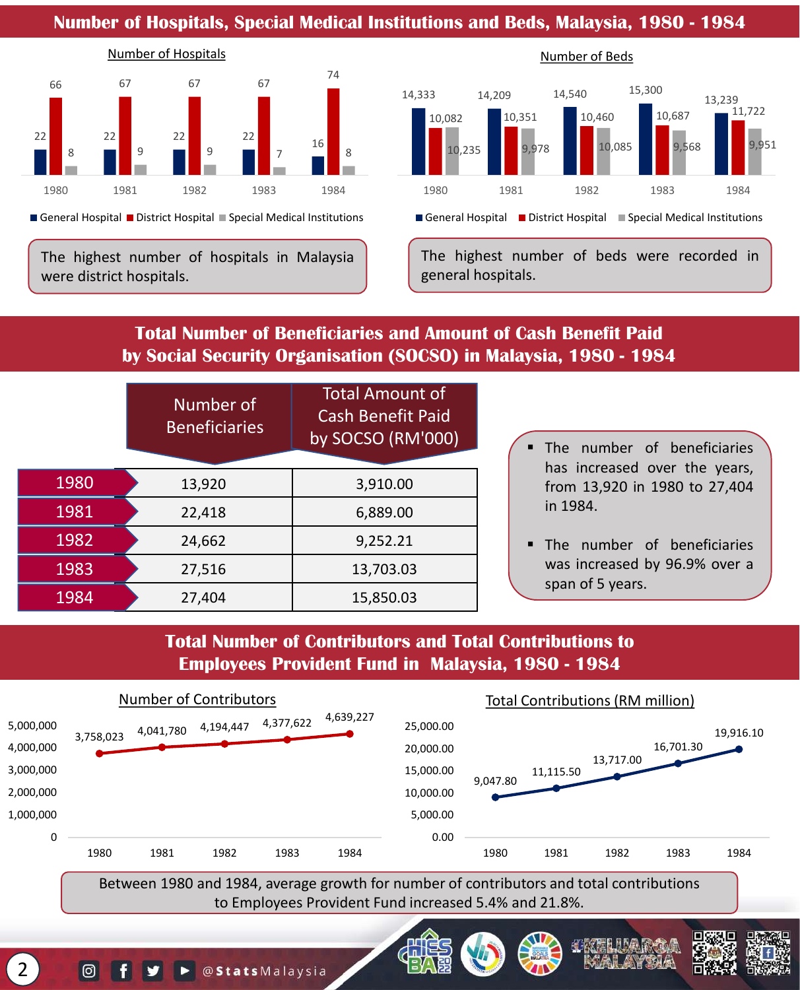#### **Number of Hospitals, Special Medical Institutions and Beds, Malaysia, 1980 - 1984**



General Hospital District Hospital Special Medical Institutions

The highest number of hospitals in Malaysia were district hospitals.



Number of Beds

General Hospital District Hospital Special Medical Institutions

The highest number of beds were recorded in general hospitals.

## **Total Number of Beneficiaries and Amount of Cash Benefit Paid by Social Security Organisation (SOCSO) in Malaysia, 1980 - 1984**

|      | Number of<br><b>Beneficiaries</b> | <b>Total Amount of</b><br><b>Cash Benefit Paid</b><br>by SOCSO (RM'000) | · The number of beneficiaries<br>has increased over the years, |
|------|-----------------------------------|-------------------------------------------------------------------------|----------------------------------------------------------------|
| 1980 | 13,920                            | 3,910.00                                                                | from 13,920 in 1980 to 27,404                                  |
| 1981 | 22,418                            | 6,889.00                                                                | in 1984.                                                       |
| 1982 | 24,662                            | 9,252.21                                                                | . The number of beneficiaries                                  |
| 1983 | 27,516                            | 13,703.03                                                               | was increased by 96.9% over a<br>span of 5 years.              |
| 1984 | 27,404                            | 15,850.03                                                               |                                                                |

# **Total Number of Contributors and Total Contributions to Employees Provident Fund in Malaysia, 1980 - 1984**



Between 1980 and 1984, average growth for number of contributors and total contributions to Employees Provident Fund increased 5.4% and 21.8%.

2

 $\lbrack \odot \rbrack$